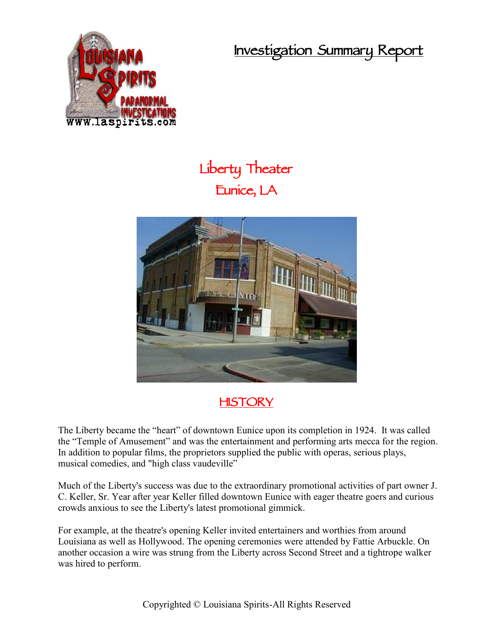**Investigation Summary Report**



## **Liberty Theater Eunice, LA**



## **HISTORY**

The Liberty became the "heart" of downtown Eunice upon its completion in 1924. It was called the "Temple of Amusement" and was the entertainment and performing arts mecca for the region. In addition to popular films, the proprietors supplied the public with operas, serious plays, musical comedies, and "high class vaudeville"

Much of the Liberty's success was due to the extraordinary promotional activities of part owner J. C. Keller, Sr. Year after year Keller filled downtown Eunice with eager theatre goers and curious crowds anxious to see the Liberty's latest promotional gimmick.

For example, at the theatre's opening Keller invited entertainers and worthies from around Louisiana as well as Hollywood. The opening ceremonies were attended by Fattie Arbuckle. On another occasion a wire was strung from the Liberty across Second Street and a tightrope walker was hired to perform.